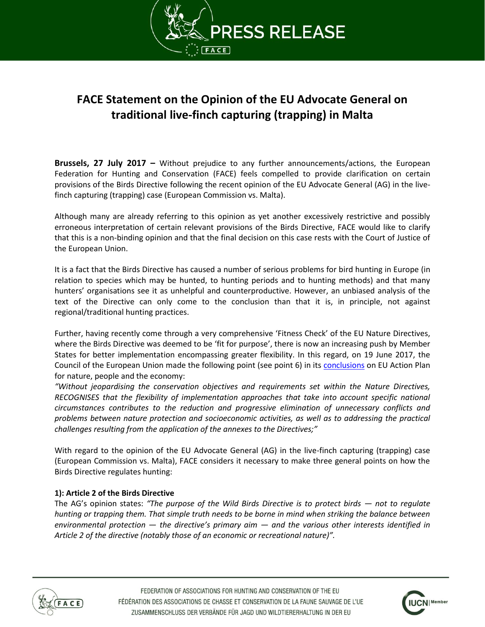

# **FACE Statement on the Opinion of the EU Advocate General on traditional live-finch capturing (trapping) in Malta**

**Brussels, 27 July 2017 –** Without prejudice to any further announcements/actions, the European Federation for Hunting and Conservation (FACE) feels compelled to provide clarification on certain provisions of the Birds Directive following the recent opinion of the EU Advocate General (AG) in the livefinch capturing (trapping) case (European Commission vs. Malta).

Although many are already referring to this opinion as yet another excessively restrictive and possibly erroneous interpretation of certain relevant provisions of the Birds Directive, FACE would like to clarify that this is a non-binding opinion and that the final decision on this case rests with the Court of Justice of the European Union.

It is a fact that the Birds Directive has caused a number of serious problems for bird hunting in Europe (in relation to species which may be hunted, to hunting periods and to hunting methods) and that many hunters' organisations see it as unhelpful and counterproductive. However, an unbiased analysis of the text of the Directive can only come to the conclusion than that it is, in principle, not against regional/traditional hunting practices.

Further, having recently come through a very comprehensive 'Fitness Check' of the EU Nature Directives, where the Birds Directive was deemed to be 'fit for purpose', there is now an increasing push by Member States for better implementation encompassing greater flexibility. In this regard, on 19 June 2017, the Council of the European Union made the following point (see point 6) in its [conclusions](http://www.consilium.europa.eu/en/press/press-releases/2017/06/19-conclusions-eu-action-plan-nature/) on EU Action Plan for nature, people and the economy:

*"Without jeopardising the conservation objectives and requirements set within the Nature Directives, RECOGNISES that the flexibility of implementation approaches that take into account specific national circumstances contributes to the reduction and progressive elimination of unnecessary conflicts and problems between nature protection and socioeconomic activities, as well as to addressing the practical challenges resulting from the application of the annexes to the Directives;"*

With regard to the opinion of the EU Advocate General (AG) in the live-finch capturing (trapping) case (European Commission vs. Malta), FACE considers it necessary to make three general points on how the Birds Directive regulates hunting:

## **1): Article 2 of the Birds Directive**

The AG's opinion states: *"The purpose of the Wild Birds Directive is to protect birds — not to regulate hunting or trapping them. That simple truth needs to be borne in mind when striking the balance between environmental protection — the directive's primary aim — and the various other interests identified in Article 2 of the directive (notably those of an economic or recreational nature)".* 



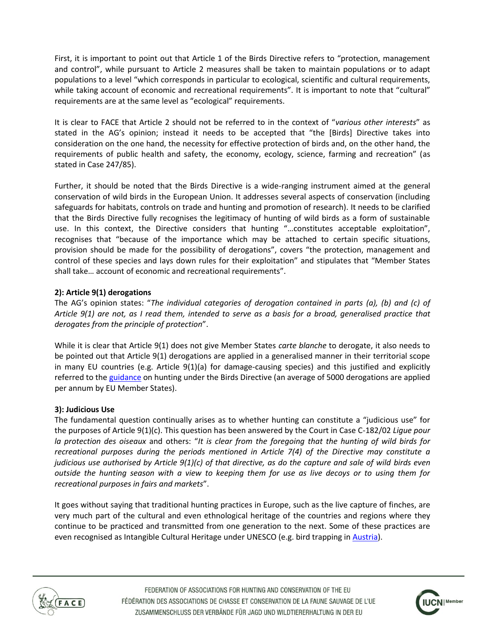First, it is important to point out that Article 1 of the Birds Directive refers to "protection, management and control", while pursuant to Article 2 measures shall be taken to maintain populations or to adapt populations to a level "which corresponds in particular to ecological, scientific and cultural requirements, while taking account of economic and recreational requirements". It is important to note that "cultural" requirements are at the same level as "ecological" requirements.

It is clear to FACE that Article 2 should not be referred to in the context of "*various other interests*" as stated in the AG's opinion; instead it needs to be accepted that "the [Birds] Directive takes into consideration on the one hand, the necessity for effective protection of birds and, on the other hand, the requirements of public health and safety, the economy, ecology, science, farming and recreation" (as stated in Case 247/85).

Further, it should be noted that the Birds Directive is a wide-ranging instrument aimed at the general conservation of wild birds in the European Union. It addresses several aspects of conservation (including safeguards for habitats, controls on trade and hunting and promotion of research). It needs to be clarified that the Birds Directive fully recognises the legitimacy of hunting of wild birds as a form of sustainable use. In this context, the Directive considers that hunting "…constitutes acceptable exploitation", recognises that "because of the importance which may be attached to certain specific situations, provision should be made for the possibility of derogations", covers "the protection, management and control of these species and lays down rules for their exploitation" and stipulates that "Member States shall take… account of economic and recreational requirements".

# **2): Article 9(1) derogations**

The AG's opinion states: "*The individual categories of derogation contained in parts (a), (b) and (c) of Article 9(1) are not, as I read them, intended to serve as a basis for a broad, generalised practice that derogates from the principle of protection*".

While it is clear that Article 9(1) does not give Member States *carte blanche* to derogate, it also needs to be pointed out that Article 9(1) derogations are applied in a generalised manner in their territorial scope in many EU countries (e.g. Article 9(1)(a) for damage-causing species) and this justified and explicitly referred to the [guidance](http://ec.europa.eu/environment/nature/conservation/wildbirds/hunting/docs/hunting_guide_en.pdf) on hunting under the Birds Directive (an average of 5000 derogations are applied per annum by EU Member States).

## **3): Judicious Use**

The fundamental question continually arises as to whether hunting can constitute a "judicious use" for the purposes of Article 9(1)(c). This question has been answered by the Court in Case C-182/02 *Ligue pour la protection des oiseaux* and others: "*It is clear from the foregoing that the hunting of wild birds for recreational purposes during the periods mentioned in Article 7(4) of the Directive may constitute a judicious use authorised by Article 9(1)(c) of that directive, as do the capture and sale of wild birds even outside the hunting season with a view to keeping them for use as live decoys or to using them for recreational purposes in fairs and markets*".

It goes without saying that traditional hunting practices in Europe, such as the live capture of finches, are very much part of the cultural and even ethnological heritage of the countries and regions where they continue to be practiced and transmitted from one generation to the next. Some of these practices are even recognised as Intangible Cultural Heritage under UNESCO (e.g. bird trapping in [Austria\)](http://immaterielleskulturerbe.unesco.at/cgi-bin/unesco/element.pl?eid=14&lang=en).